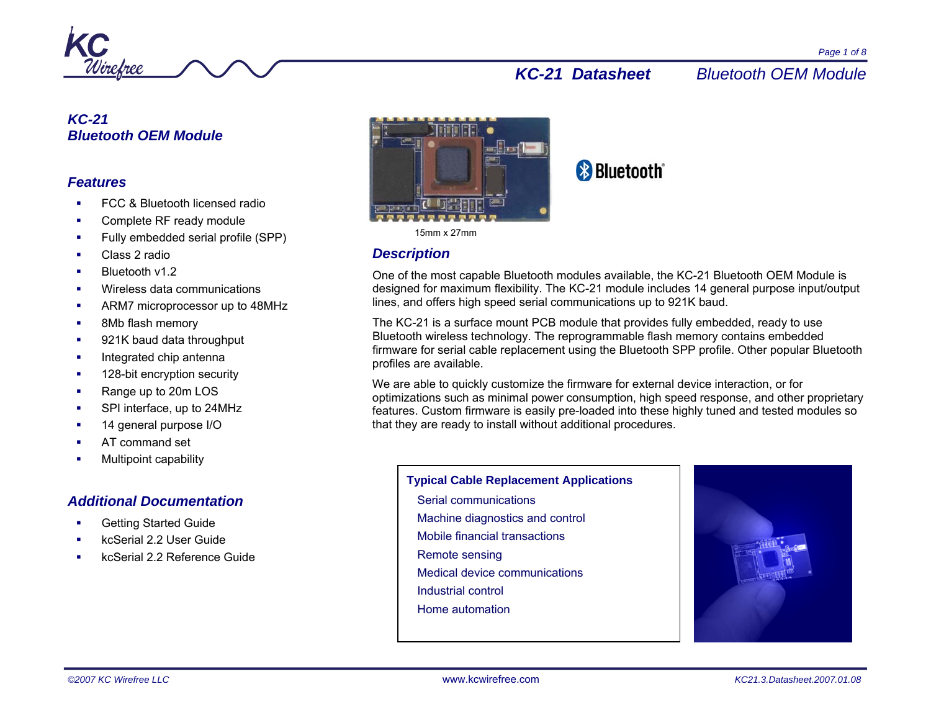

# *KC-21 Bluetooth OEM Module*

## *Features*

- FCC & Bluetooth licensed radio
- Complete RF ready module
- г Fully embedded serial profile (SPP)
- Class 2 radio
- Bluetooth v1.2
- г Wireless data communications
- $\mathbf{r}$ ARM7 microprocessor up to 48MHz
- ٠ 8Mb flash memory
- $\blacksquare$ 921K baud data throughput
- Integrated chip antenna
- 128-bit encryption security
- × Range up to 20m LOS
- SPI interface, up to 24MHz
- 14 general purpose I/O
- г AT command set
- Multipoint capability

# *Additional Documentation*

- Getting Started Guide
- kcSerial 2.2 User Guide
- kcSerial 2.2 Reference Guide



#### 15mm x 27mm

# *Description*

One of the most capable Bluetooth modules available, the KC-21 Bluetooth OEM Module is designed for maximum flexibility. The KC-21 module includes 14 general purpose input/output lines, and offers high speed serial communications up to 921K baud.

The KC-21 is a surface mount PCB module that provides fully embedded, ready to use Bluetooth wireless technology. The reprogrammable flash memory contains embedded firmware for serial cable replacement using the Bluetooth SPP profile. Other popular Bluetooth profiles are available.

We are able to quickly customize the firmware for external device interaction, or for optimizations such as minimal power consumption, high speed response, and other proprietary features. Custom firmware is easily pre-loaded into these highly tuned and tested modules so that they are ready to install without additional procedures.

#### **Typical Cable Replacement Applications**

- Serial communications Machine diagnostics and control
- Mobile financial transactions
- 
- Remote sensing
- Medical device communications
- Industrial control
- Home automation

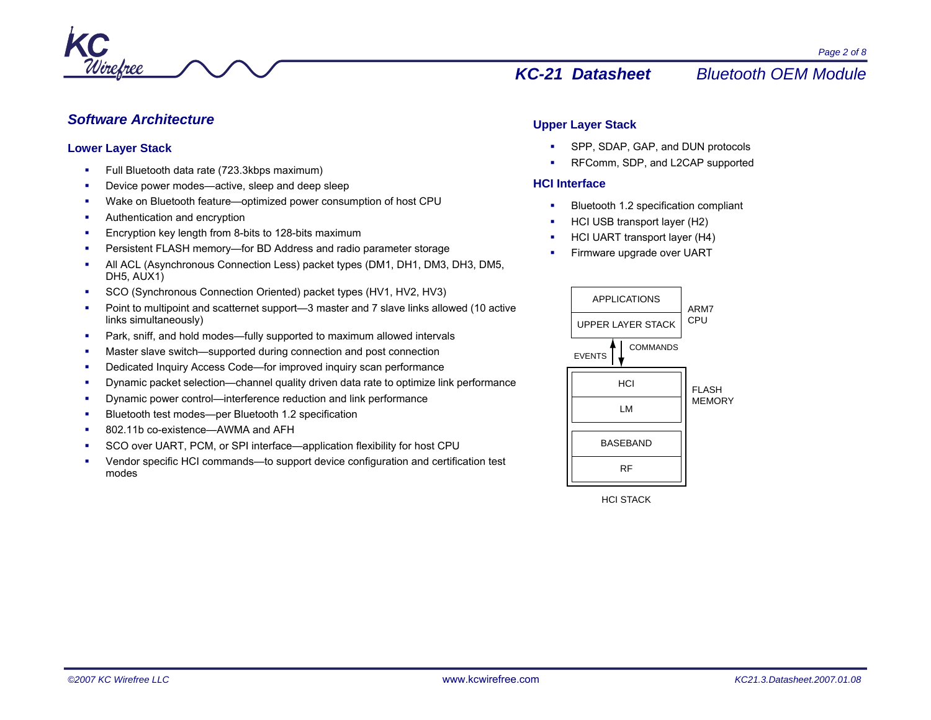

## *Software Architecture*

#### **Lower Layer Stack**

- г Full Bluetooth data rate (723.3kbps maximum)
- L Device power modes—active, sleep and deep sleep
- Wake on Bluetooth feature—optimized power consumption of host CPU
- Authentication and encryption
- г Encryption key length from 8-bits to 128-bits maximum
- г Persistent FLASH memory—for BD Address and radio parameter storage
- L All ACL (Asynchronous Connection Less) packet types (DM1, DH1, DM3, DH3, DM5, DH5, AUX1)
- SCO (Synchronous Connection Oriented) packet types (HV1, HV2, HV3)
- г Point to multipoint and scatternet support—3 master and 7 slave links allowed (10 active links simultaneously)
- Ξ Park, sniff, and hold modes—fully supported to maximum allowed intervals
- Master slave switch—supported during connection and post connection
- Dedicated Inquiry Access Code—for improved inquiry scan performance
- г Dynamic packet selection—channel quality driven data rate to optimize link performance
- г Dynamic power control—interference reduction and link performance
- L Bluetooth test modes—per Bluetooth 1.2 specification
- 802.11b co-existence—AWMA and AFH
- SCO over UART, PCM, or SPI interface—application flexibility for host CPU
- г Vendor specific HCI commands—to support device configuration and certification test modes

## **Upper Layer Stack**

- SPP, SDAP, GAP, and DUN protocols
- **RFComm, SDP, and L2CAP supported**

## **HCI Interface**

- Bluetooth 1.2 specification compliant
- HCI USB transport layer (H2)
- г HCI UART transport layer (H4)
- г Firmware upgrade over UART



HCI STACK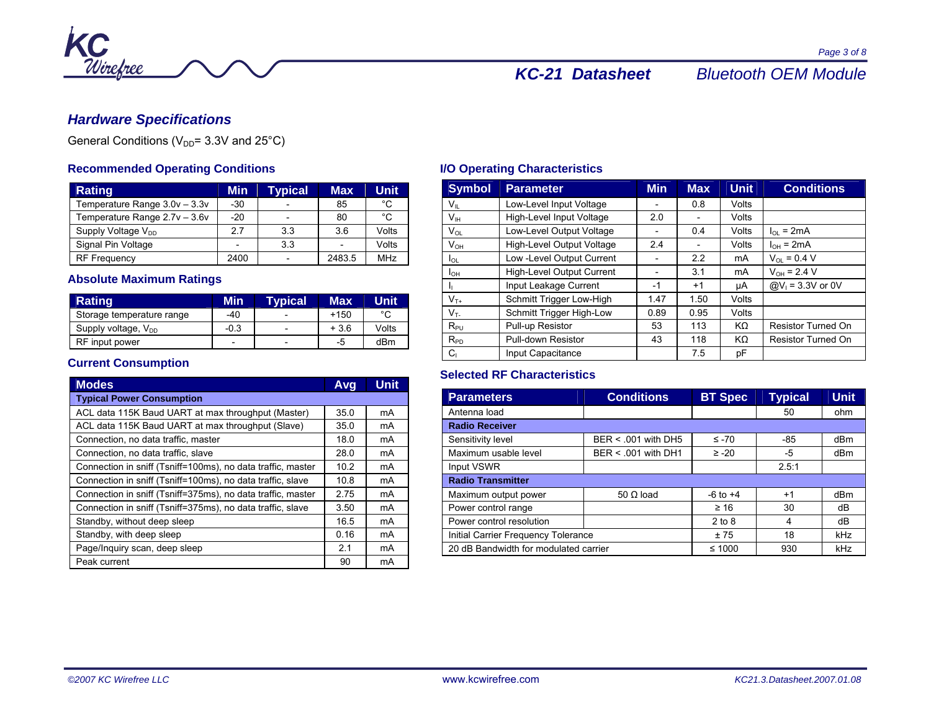

# *Hardware Specifications*

General Conditions ( $V_{DD}$ = 3.3V and 25°C)

# **Recommended Operating Conditions**

| <b>Rating</b>                  | Min                      | <b>Typical</b>           | Max.   | <b>Unit</b> |
|--------------------------------|--------------------------|--------------------------|--------|-------------|
| Temperature Range 3.0v - 3.3v  | $-30$                    |                          | 85     | °C          |
| Temperature Range 2.7v - 3.6v  | $-20$                    | -                        | 80     | °C          |
| Supply Voltage V <sub>DD</sub> | 2.7                      | 3.3                      | 3.6    | Volts       |
| Signal Pin Voltage             | $\overline{\phantom{0}}$ | 3.3                      |        | Volts       |
| <b>RF Frequency</b>            | 2400                     | $\overline{\phantom{0}}$ | 2483.5 | <b>MHz</b>  |

## **Absolute Maximum Ratings**

| Rating                    | Min    | <b>Typical</b> | Max    | Unit  |
|---------------------------|--------|----------------|--------|-------|
| Storage temperature range | -40    | -              | $+150$ | ∘∩    |
| Supply voltage, $V_{DD}$  | $-0.3$ |                | $+3.6$ | Volts |
| RF input power            |        | -              | -5     | dBm   |

## **Current Consumption**

| <b>Modes</b>                                                | Avg  | <b>Unit</b> |  |  |  |  |
|-------------------------------------------------------------|------|-------------|--|--|--|--|
| <b>Typical Power Consumption</b>                            |      |             |  |  |  |  |
| ACL data 115K Baud UART at max throughput (Master)          | 35.0 | mA          |  |  |  |  |
| ACL data 115K Baud UART at max throughput (Slave)           | 35.0 | mA          |  |  |  |  |
| Connection, no data traffic, master                         | 18.0 | mA          |  |  |  |  |
| Connection, no data traffic, slave                          | 28.0 | mA          |  |  |  |  |
| Connection in sniff (Tsniff=100ms), no data traffic, master | 10.2 | mA          |  |  |  |  |
| Connection in sniff (Tsniff=100ms), no data traffic, slave  | 10.8 | mA          |  |  |  |  |
| Connection in sniff (Tsniff=375ms), no data traffic, master | 2.75 | mA          |  |  |  |  |
| Connection in sniff (Tsniff=375ms), no data traffic, slave  | 3.50 | mA          |  |  |  |  |
| Standby, without deep sleep                                 | 16.5 | mA          |  |  |  |  |
| Standby, with deep sleep                                    |      | mA          |  |  |  |  |
| Page/Inquiry scan, deep sleep                               | 2.1  | mA          |  |  |  |  |
| Peak current                                                |      | mA          |  |  |  |  |

# **I/O Operating Characteristics**

| <b>Symbol</b>   | <b>Parameter</b>          | <b>Min</b> | <b>Max</b> | <b>Unit</b> | <b>Conditions</b>         |
|-----------------|---------------------------|------------|------------|-------------|---------------------------|
| $V_{\rm II}$    | Low-Level Input Voltage   |            | 0.8        | Volts       |                           |
| $V_{IH}$        | High-Level Input Voltage  | 2.0        |            | Volts       |                           |
| $V_{OL}$        | Low-Level Output Voltage  |            | 0.4        | Volts       | $I_{\Omega}$ = 2mA        |
| $V_{OH}$        | High-Level Output Voltage | 2.4        |            | Volts       | $I_{OH} = 2mA$            |
| lol             | Low -Level Output Current |            | 2.2        | mA          | $V_{OL} = 0.4 V$          |
| I <sub>ОН</sub> | High-Level Output Current |            | 3.1        | mA          | $V_{OH} = 2.4 V$          |
| h.              | Input Leakage Current     | -1         | $+1$       | uA          | $@V_1 = 3.3V$ or 0V       |
| $V_{T+}$        | Schmitt Trigger Low-High  | 1.47       | 1.50       | Volts       |                           |
| $V_T$           | Schmitt Trigger High-Low  | 0.89       | 0.95       | Volts       |                           |
| $R_{PU}$        | Pull-up Resistor          | 53         | 113        | KΩ          | <b>Resistor Turned On</b> |
| $R_{PD}$        | Pull-down Resistor        | 43         | 118        | KΩ          | <b>Resistor Turned On</b> |
| $C_1$           | Input Capacitance         |            | 7.5        | рF          |                           |

## **Selected RF Characteristics**

| <b>Parameters</b>                     | <b>Conditions</b>    | <b>BT Spec</b> | <b>Typical</b> | <b>Unit</b> |  |  |
|---------------------------------------|----------------------|----------------|----------------|-------------|--|--|
| Antenna load                          |                      |                | 50             | ohm         |  |  |
| <b>Radio Receiver</b>                 |                      |                |                |             |  |  |
| Sensitivity level                     | BER < .001 with DH5  | $\leq -70$     | $-85$          | dBm         |  |  |
| Maximum usable level                  | $BER < 001$ with DH1 | $\ge -20$      | -5             | dBm         |  |  |
| Input VSWR                            |                      |                | 2.5:1          |             |  |  |
| <b>Radio Transmitter</b>              |                      |                |                |             |  |  |
| Maximum output power                  | $50 \Omega$ load     | $-6$ to $+4$   | $+1$           | dBm         |  |  |
| Power control range                   |                      | $\geq 16$      | 30             | dB          |  |  |
| Power control resolution              |                      | $2$ to $8$     | 4              | dB          |  |  |
| Initial Carrier Frequency Tolerance   | ±75                  | 18             | kHz            |             |  |  |
| 20 dB Bandwidth for modulated carrier |                      | ≤ 1000         | 930            | kHz         |  |  |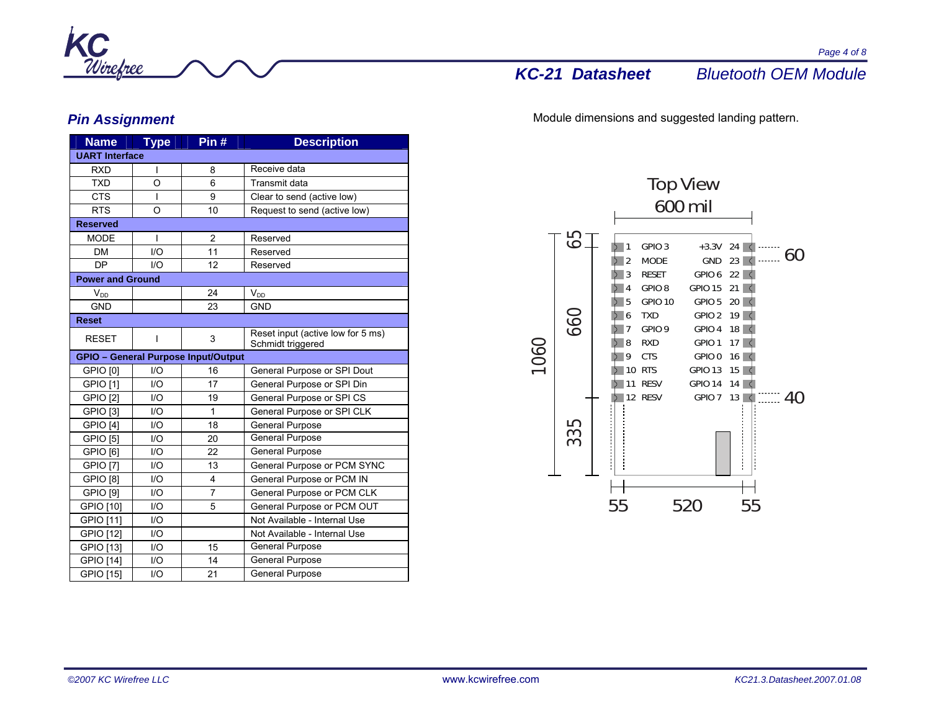

# *Pin Assignment*

| <b>Name</b>             | <b>Type</b>             | Pin#                                       | <b>Description</b>                                     |  |  |
|-------------------------|-------------------------|--------------------------------------------|--------------------------------------------------------|--|--|
| <b>UART Interface</b>   |                         |                                            |                                                        |  |  |
| <b>RXD</b>              | I                       | 8                                          | Receive data                                           |  |  |
| <b>TXD</b>              | $\circ$                 | 6                                          | Transmit data                                          |  |  |
| <b>CTS</b>              | I                       | 9                                          | Clear to send (active low)                             |  |  |
| <b>RTS</b>              | O                       | 10                                         | Request to send (active low)                           |  |  |
| <b>Reserved</b>         |                         |                                            |                                                        |  |  |
| <b>MODE</b>             | ı                       | $\overline{2}$                             | Reserved                                               |  |  |
| <b>DM</b>               | 1/O                     | 11                                         | Reserved                                               |  |  |
| <b>DP</b>               | $UO$                    | 12                                         | Reserved                                               |  |  |
| <b>Power and Ground</b> |                         |                                            |                                                        |  |  |
| $V_{DD}$                |                         | 24                                         | $V_{DD}$                                               |  |  |
| <b>GND</b>              |                         | 23                                         | <b>GND</b>                                             |  |  |
| <b>Reset</b>            |                         |                                            |                                                        |  |  |
| <b>RESET</b>            | I                       | 3                                          | Reset input (active low for 5 ms)<br>Schmidt triggered |  |  |
|                         |                         | <b>GPIO - General Purpose Input/Output</b> |                                                        |  |  |
| GPIO [0]                | 1/O                     | 16                                         | General Purpose or SPI Dout                            |  |  |
| GPIO [1]                | 1/O                     | 17                                         | General Purpose or SPI Din                             |  |  |
| <b>GPIO [2]</b>         | 1/O                     | 19                                         | General Purpose or SPI CS                              |  |  |
| <b>GPIO [3]</b>         | 1/O                     | 1                                          | General Purpose or SPI CLK                             |  |  |
| GPIO <sub>[4]</sub>     | 1/O                     | 18                                         | <b>General Purpose</b>                                 |  |  |
| <b>GPIO [5]</b>         | 1/O                     | 20                                         | <b>General Purpose</b>                                 |  |  |
| GPIO [6]                | 1/O                     | 22                                         | <b>General Purpose</b>                                 |  |  |
| <b>GPIO [7]</b>         | 1/O                     | 13                                         | General Purpose or PCM SYNC                            |  |  |
| <b>GPIO [8]</b>         | $\mathsf{I}/\mathsf{O}$ | 4                                          | General Purpose or PCM IN                              |  |  |
| GPIO [9]                | $\mathsf{I}/\mathsf{O}$ | $\overline{7}$                             | General Purpose or PCM CLK                             |  |  |
| GPIO [10]               | $\mathsf{I}/\mathsf{O}$ | 5                                          | General Purpose or PCM OUT                             |  |  |
| GPIO [11]               | I/O                     |                                            | Not Available - Internal Use                           |  |  |
| GPIO [12]               | I/O                     |                                            | Not Available - Internal Use                           |  |  |
| GPIO [13]               | 1/O                     | 15                                         | General Purpose                                        |  |  |
| <b>GPIO [14]</b>        | $\mathsf{I}/\mathsf{O}$ | 14                                         | General Purpose                                        |  |  |
| GPIO [15]               | $UO$                    | 21                                         | General Purpose                                        |  |  |

Module dimensions and suggested landing pattern.

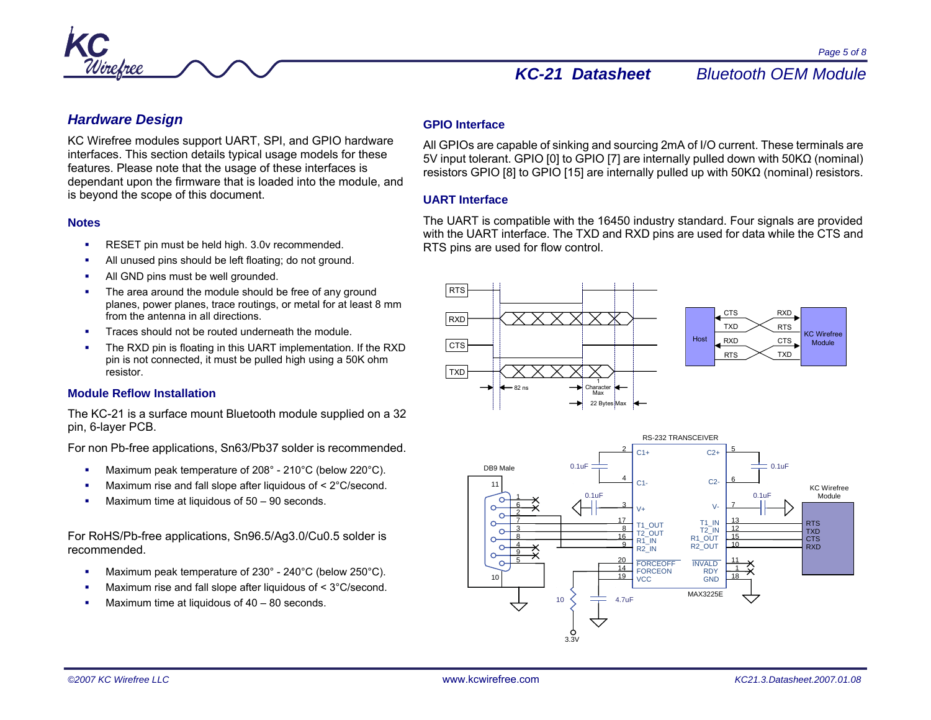

*Page 5 of 8* 

# *Hardware Design*

KC Wirefree modules support UART, SPI, and GPIO hardware interfaces. This section details typical usage models for these features. Please note that the usage of these interfaces is dependant upon the firmware that is loaded into the module, and is beyond the scope of this document.

### **Notes**

- RESET pin must be held high. 3.0v recommended.
- All unused pins should be left floating; do not ground.
- г All GND pins must be well grounded.
- г The area around the module should be free of any ground planes, power planes, trace routings, or metal for at least 8 mm from the antenna in all directions.
- Traces should not be routed underneath the module.
- Ξ The RXD pin is floating in this UART implementation. If the RXD pin is not connected, it must be pulled high using a 50K ohm resistor.

## **Module Reflow Installation**

The KC-21 is a surface mount Bluetooth module supplied on a 32 pin, 6-layer PCB.

For non Pb-free applications, Sn63/Pb37 solder is recommended.

- г Maximum peak temperature of 208° - 210°C (below 220°C).
- Ξ Maximum rise and fall slope after liquidous of < 2°C/second.
- Maximum time at liquidous of 50 90 seconds.

For RoHS/Pb-free applications, Sn96.5/Ag3.0/Cu0.5 solder is recommended.

- Maximum peak temperature of 230° 240°C (below 250°C).
- г Maximum rise and fall slope after liquidous of < 3°C/second.
- г Maximum time at liquidous of 40 – 80 seconds.

## **GPIO Interface**

All GPIOs are capable of sinking and sourcing 2mA of I/O current. These terminals are 5V input tolerant. GPIO [0] to GPIO [7] are internally pulled down with 50KΩ (nominal) resistors GPIO [8] to GPIO [15] are internally pulled up with 50KΩ (nominal) resistors.

## **UART Interface**

The UART is compatible with the 16450 industry standard. Four signals are provided with the UART interface. The TXD and RXD pins are used for data while the CTS and RTS pins are used for flow control.



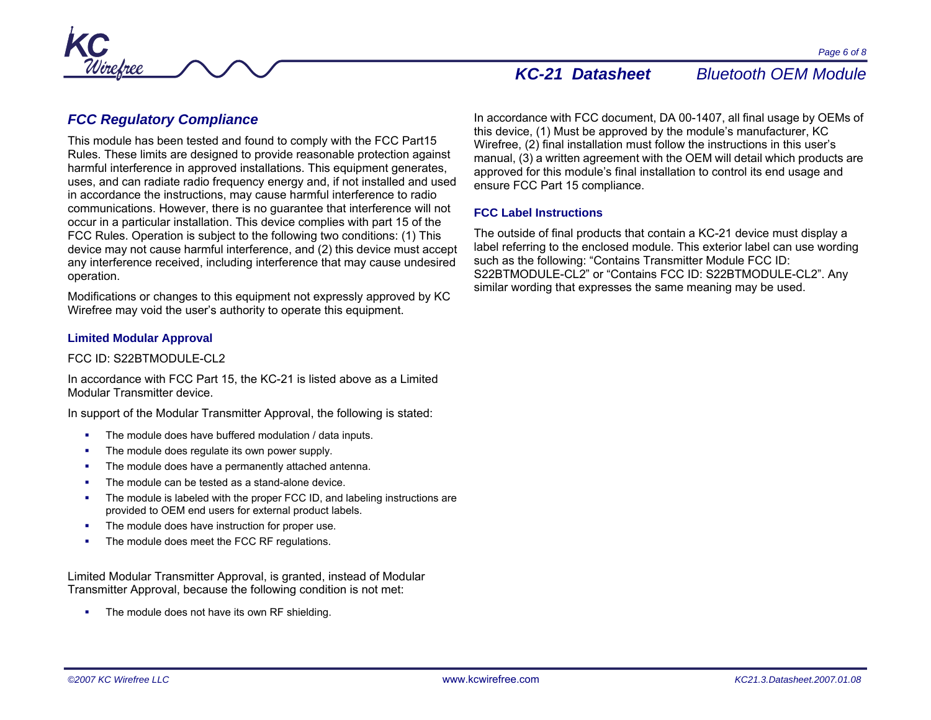# *FCC Regulatory Compliance*

This module has been tested and found to comply with the FCC Part15 Rules. These limits are designed to provide reasonable protection against harmful interference in approved installations. This equipment generates, uses, and can radiate radio frequency energy and, if not installed and used in accordance the instructions, may cause harmful interference to radio communications. However, there is no guarantee that interference will not occur in a particular installation. This device complies with part 15 of the FCC Rules. Operation is subject to the following two conditions: (1) This device may not cause harmful interference, and (2) this device must accept any interference received, including interference that may cause undesired operation.

Modifications or changes to this equipment not expressly approved by KC Wirefree may void the user's authority to operate this equipment.

## **Limited Modular Approval**

### FCC ID: S22BTMODULE-CL2

In accordance with FCC Part 15, the KC-21 is listed above as a Limited Modular Transmitter device.

In support of the Modular Transmitter Approval, the following is stated:

- **The module does have buffered modulation / data inputs.**
- The module does regulate its own power supply.
- г The module does have a permanently attached antenna.
- г The module can be tested as a stand-alone device.
- L The module is labeled with the proper FCC ID, and labeling instructions are provided to OEM end users for external product labels.
- The module does have instruction for proper use.
- Ξ The module does meet the FCC RF regulations.

Limited Modular Transmitter Approval, is granted, instead of Modular Transmitter Approval, because the following condition is not met:

**The module does not have its own RF shielding.** 

In accordance with FCC document, DA 00-1407, all final usage by OEMs of this device, (1) Must be approved by the module's manufacturer, KC Wirefree, (2) final installation must follow the instructions in this user's manual, (3) a written agreement with the OEM will detail which products are approved for this module's final installation to control its end usage and ensure FCC Part 15 compliance.

## **FCC Label Instructions**

The outside of final products that contain a KC-21 device must display a label referring to the enclosed module. This exterior label can use wording such as the following: "Contains Transmitter Module FCC ID: S22BTMODULE-CL2" or "Contains FCC ID: S22BTMODULE-CL2". Any similar wording that expresses the same meaning may be used.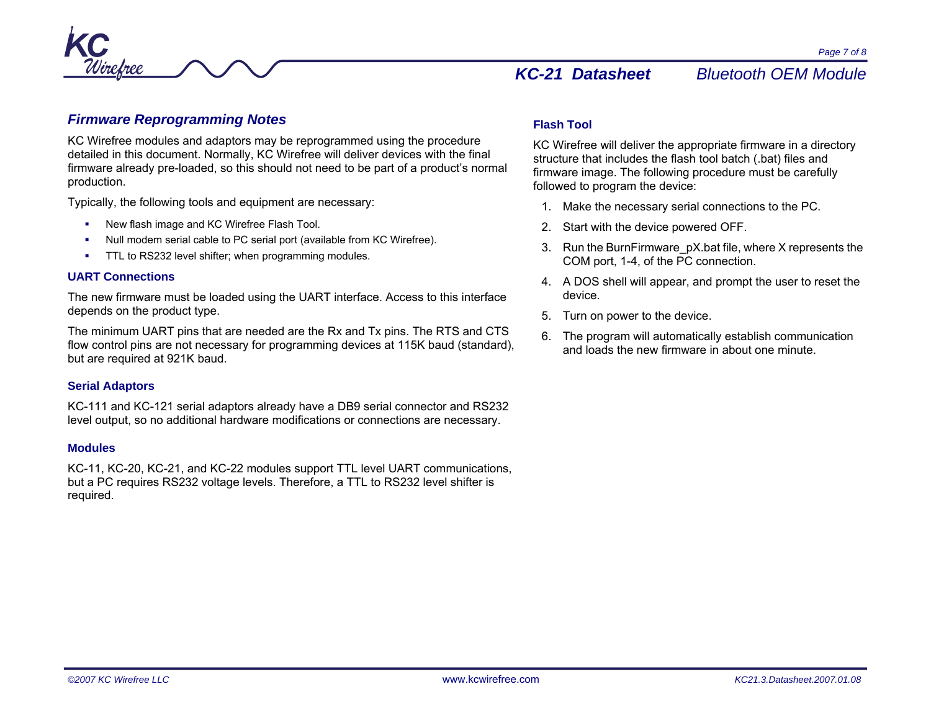



# *Firmware Reprogramming Notes*

KC Wirefree modules and adaptors may be reprogrammed using the procedure detailed in this document. Normally, KC Wirefree will deliver devices with the final firmware already pre-loaded, so this should not need to be part of a product's normal production.

Typically, the following tools and equipment are necessary:

- New flash image and KC Wirefree Flash Tool.
- г Null modem serial cable to PC serial port (available from KC Wirefree).
- г TTL to RS232 level shifter; when programming modules.

### **UART Connections**

The new firmware must be loaded using the UART interface. Access to this interface depends on the product type.

The minimum UART pins that are needed are the Rx and Tx pins. The RTS and CTS flow control pins are not necessary for programming devices at 115K baud (standard), but are required at 921K baud.

## **Serial Adaptors**

KC-111 and KC-121 serial adaptors already have a DB9 serial connector and RS232 level output, so no additional hardware modifications or connections are necessary.

### **Modules**

KC-11, KC-20, KC-21, and KC-22 modules support TTL level UART communications, but a PC requires RS232 voltage levels. Therefore, a TTL to RS232 level shifter is required.

## **Flash Tool**

KC Wirefree will deliver the appropriate firmware in a directory structure that includes the flash tool batch (.bat) files and firmware image. The following procedure must be carefully followed to program the device:

- 1. Make the necessary serial connections to the PC.
- 2. Start with the device powered OFF.
- 3. Run the BurnFirmware\_pX.bat file, where X represents the COM port, 1-4, of the PC connection.
- 4. A DOS shell will appear, and prompt the user to reset the device.
- 5. Turn on power to the device.
- 6. The program will automatically establish communication and loads the new firmware in about one minute.